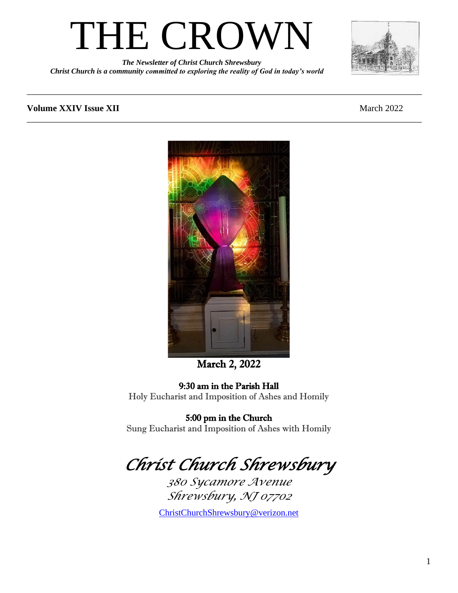

*The Newsletter of Christ Church Shrewsbury Christ Church is a community committed to exploring the reality of God in today's world*



#### **Volume XXIV Issue XII All and SIV Issue** XII *March 2022*



\_\_\_\_\_\_\_\_\_\_\_\_\_\_\_\_\_\_\_\_\_\_\_\_\_\_\_\_\_\_\_\_\_\_\_\_\_\_\_\_\_\_\_\_\_\_\_\_\_\_\_\_\_\_\_\_\_\_\_\_\_\_\_\_\_\_\_\_\_\_\_\_\_\_\_\_\_\_\_\_\_\_\_\_\_\_\_\_

\_\_\_\_\_\_\_\_\_\_\_\_\_\_\_\_\_\_\_\_\_\_\_\_\_\_\_\_\_\_\_\_\_\_\_\_\_\_\_\_\_\_\_\_\_\_\_\_\_\_\_\_\_\_\_\_\_\_\_\_\_\_\_\_\_\_\_\_\_\_\_\_\_\_\_\_\_\_\_\_\_\_\_\_\_\_\_\_

#### March 2, 2022

#### 9:30 am in the Parish Hall

Holy Eucharist and Imposition of Ashes and Homily

#### 5:00 pm in the Church

Sung Eucharist and Imposition of Ashes with Homily

# *Christ Church Shrewsbury*

*380 Sycamore Avenue Shrewsbury, NJ 07702*

[ChristChurchShrewsbury@verizon.net](mailto:ChristChurchShrewsbury@verizon.net)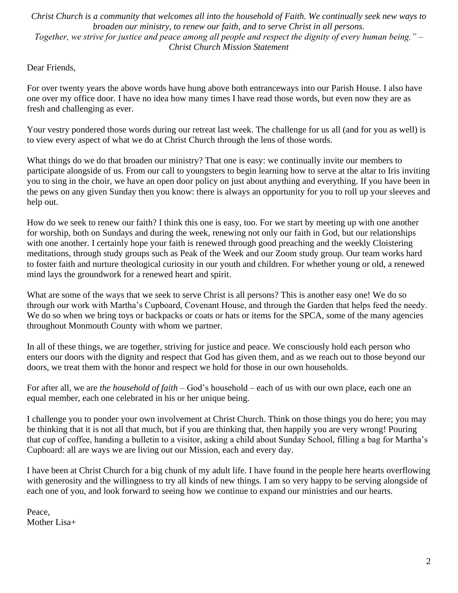*Christ Church is a community that welcomes all into the household of Faith. We continually seek new ways to broaden our ministry, to renew our faith, and to serve Christ in all persons. Together, we strive for justice and peace among all people and respect the dignity of every human being." – Christ Church Mission Statement*

Dear Friends,

For over twenty years the above words have hung above both entranceways into our Parish House. I also have one over my office door. I have no idea how many times I have read those words, but even now they are as fresh and challenging as ever.

Your vestry pondered those words during our retreat last week. The challenge for us all (and for you as well) is to view every aspect of what we do at Christ Church through the lens of those words.

What things do we do that broaden our ministry? That one is easy: we continually invite our members to participate alongside of us. From our call to youngsters to begin learning how to serve at the altar to Iris inviting you to sing in the choir, we have an open door policy on just about anything and everything. If you have been in the pews on any given Sunday then you know: there is always an opportunity for you to roll up your sleeves and help out.

How do we seek to renew our faith? I think this one is easy, too. For we start by meeting up with one another for worship, both on Sundays and during the week, renewing not only our faith in God, but our relationships with one another. I certainly hope your faith is renewed through good preaching and the weekly Cloistering meditations, through study groups such as Peak of the Week and our Zoom study group. Our team works hard to foster faith and nurture theological curiosity in our youth and children. For whether young or old, a renewed mind lays the groundwork for a renewed heart and spirit.

What are some of the ways that we seek to serve Christ is all persons? This is another easy one! We do so through our work with Martha's Cupboard, Covenant House, and through the Garden that helps feed the needy. We do so when we bring toys or backpacks or coats or hats or items for the SPCA, some of the many agencies throughout Monmouth County with whom we partner.

In all of these things, we are together, striving for justice and peace. We consciously hold each person who enters our doors with the dignity and respect that God has given them, and as we reach out to those beyond our doors, we treat them with the honor and respect we hold for those in our own households.

For after all, we are *the household of faith* – God's household – each of us with our own place, each one an equal member, each one celebrated in his or her unique being.

I challenge you to ponder your own involvement at Christ Church. Think on those things you do here; you may be thinking that it is not all that much, but if you are thinking that, then happily you are very wrong! Pouring that cup of coffee, handing a bulletin to a visitor, asking a child about Sunday School, filling a bag for Martha's Cupboard: all are ways we are living out our Mission, each and every day.

I have been at Christ Church for a big chunk of my adult life. I have found in the people here hearts overflowing with generosity and the willingness to try all kinds of new things. I am so very happy to be serving alongside of each one of you, and look forward to seeing how we continue to expand our ministries and our hearts.

Peace, Mother Lisa+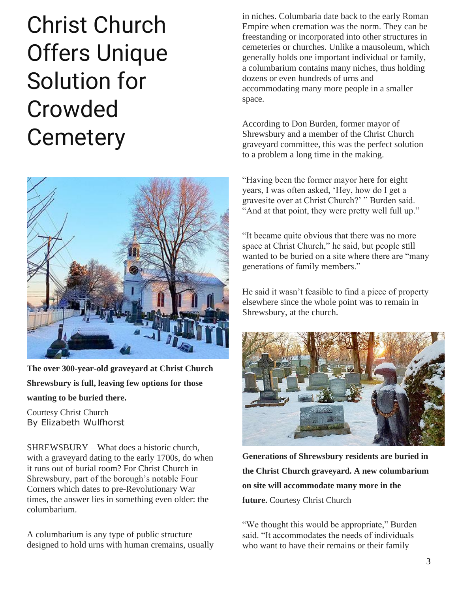# Christ Church Offers Unique Solution for Crowded **Cemetery**



**The over 300-year-old graveyard at Christ Church Shrewsbury is full, leaving few options for those wanting to be buried there.**

Courtesy Christ Church By Elizabeth Wulfhorst

SHREWSBURY – What does a historic church, with a graveyard dating to the early 1700s, do when it runs out of burial room? For Christ Church in Shrewsbury, part of the borough's notable Four Corners which dates to pre-Revolutionary War times, the answer lies in something even older: the columbarium.

A columbarium is any type of public structure designed to hold urns with human cremains, usually in niches. Columbaria date back to the early Roman Empire when cremation was the norm. They can be freestanding or incorporated into other structures in cemeteries or churches. Unlike a mausoleum, which generally holds one important individual or family, a columbarium contains many niches, thus holding dozens or even hundreds of urns and accommodating many more people in a smaller space.

According to Don Burden, former mayor of Shrewsbury and a member of the Christ Church graveyard committee, this was the perfect solution to a problem a long time in the making.

"Having been the former mayor here for eight [years, I was often asked, 'Hey](https://tworivertimes.com/wp-content/uploads/2022/02/NEWS-SH-Columbarium-Christ-Church-2-1.jpg), how do I get a gravesite over at Christ Church?' " Burden said. "And at that point, they were pretty well full up."

"It became quite obvious that there was no more space at Christ Church," he said, but people still wanted to be buried on a site where there are "many generations of family members."

He said it wasn't feasible to find a piece of property elsewhere since the whole point was to remain in Shrewsbury, at the church.



**Generations of Shrewsbury residents are buried in the Christ Church graveyard. A new columbarium on site will accommodate many more in the future.** Courtesy Christ Church

"We thought this would be appropriate," Burden said. "It accommodates the needs of individuals who want to have their remains or their family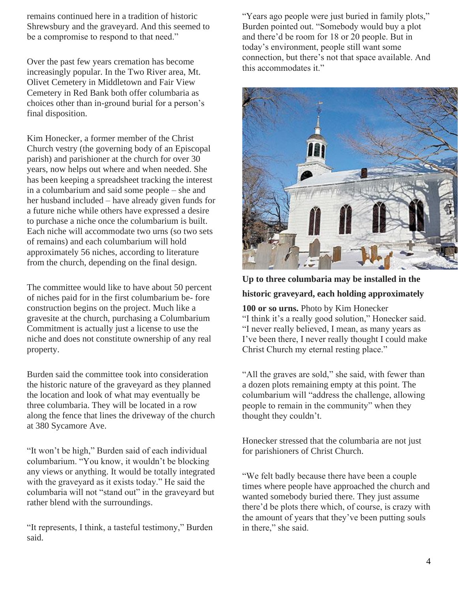remains continued here in a tradition of historic Shrewsbury and the graveyard. And this seemed to be a compromise to respond to that need."

Over the past few years cremation has become increasingly popular. In the Two River area, Mt. Olivet Cemetery in Middletown and Fair View Cemetery in Red Bank both offer columbaria as choices other than in-ground burial for a person's final disposition.

Kim Honecker, a former member of the Christ Church vestry (the governing body of an Episcopal parish) and parishioner at the church for over 30 years, now helps out where and when needed. She has been keeping a spreadsheet tracking the interest in a columbarium and said some people – she and her husband included – have already given funds for a future niche while others have expressed a desire to purchase a niche once the columbarium is built. Each niche will accommodate two urns (so two sets of remains) and each columbarium will hold approximately 56 niches, according to literature from the church, depending on the final design.

The committee would like to have about 50 percent of niches paid for in the first columbarium be- fore construction begins on the project. Much like a gravesite at the church, purchasing a Columbarium Commitment is actually just a license to use the niche and does not constitute ownership of any real property.

Burden said the committee took into consideration the historic nature of the graveyard as they planned the location and look of what may eventually be three columbaria. They will be located in a row along the fence that lines the driveway of the church at 380 Sycamore Ave.

"It won't be high," Burden said of each individual columbarium. "You know, it wouldn't be blocking any views or anything. It would be totally integrated with the graveyard as it exists today." He said the columbaria will not "stand out" in the graveyard but rather blend with the surroundings.

"It represents, I think, a tasteful testimony," Burden said.

"Years ago people were just buried in family plots," Burden pointed out. "Somebody would buy a plot and there'd be room for 18 or 20 people. But in today's environment, people still want some connection, but there's not that space available. And this accommodates it."



#### **Up to three columbaria may be installed in the historic graveyard, each holding approximately**

**100 or so urns.** Photo by Kim Honecker "I think it's a really good solution," Honecker said. "I never really believed, I mean, as many years as I've been there, I never really thought I could make Christ Church my eternal resting place."

"All the graves are sold," she said, with fewer than a dozen plots remaining empty at this point. The columbarium will "address the challenge, allowing people to remain in the community" when they thought they couldn't.

Honecker stressed that the columbaria are not just for parishioners of Christ Church.

"We felt badly because there have been a couple times where people have approached the church and wanted somebody buried there. They just assume there'd be plots there which, of course, is crazy with the amount of years that they've been putting souls in there," she said.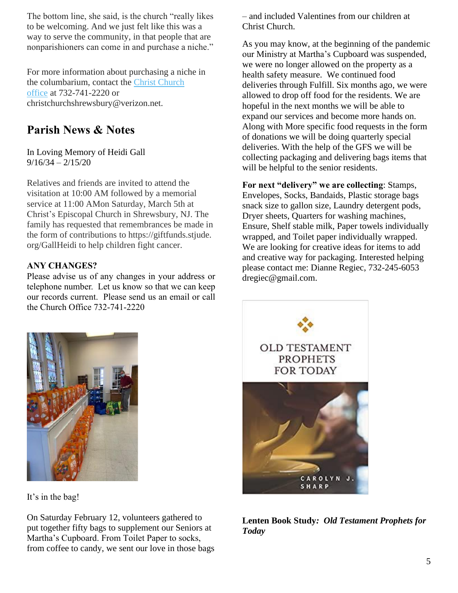The bottom line, she said, is the church "really likes to be welcoming. And we just felt like this was a way to serve the community, in that people that are nonparishioners can come in and purchase a niche."

For more information about purchasing a niche in the columbarium, contact the [Christ Church](http://christchurchshrewsbury.org/)  [office](http://christchurchshrewsbury.org/) at 732-741-2220 or christchurchshrewsbury@verizon.net.

#### **Parish News & Notes**

In Loving Memory of Heidi Gall  $9/16/34 - 2/15/20$ 

Relatives and friends are invited to attend the visitation at 10:00 AM followed by a memorial service at 11:00 AMon Saturday, March 5th at Christ's Episcopal Church in Shrewsbury, NJ. The family has requested that remembrances be made in the form of contributions to https://giftfunds.stjude. org/GallHeidi to help children fight cancer.

#### **ANY CHANGES?**

Please advise us of any changes in your address or telephone number. Let us know so that we can keep our records current. Please send us an email or call the Church Office 732-741-2220

– and included Valentines from our children at Christ Church.

As you may know, at the beginning of the pandemic our Ministry at Martha's Cupboard was suspended, we were no longer allowed on the property as a health safety measure. We continued food deliveries through Fulfill. Six months ago, we were allowed to drop off food for the residents. We are hopeful in the next months we will be able to expand our services and become more hands on. Along with More specific food requests in the form of donations we will be doing quarterly special deliveries. With the help of the GFS we will be collecting packaging and delivering bags items that will be helpful to the senior residents.

**For next "delivery" we are collecting**: Stamps, Envelopes, Socks, Bandaids, Plastic storage bags snack size to gallon size, Laundry detergent pods, Dryer sheets, Quarters for washing machines, Ensure, Shelf stable milk, Paper towels individually wrapped, and Toilet paper individually wrapped. We are looking for creative ideas for items to add and creative way for packaging. Interested helping please contact me: Dianne Regiec, 732-245-6053 dregiec@gmail.com.



It's in the bag!

On Saturday February 12, volunteers gathered to put together fifty bags to supplement our Seniors at Martha's Cupboard. From Toilet Paper to socks, from coffee to candy, we sent our love in those bags



**Lenten Book Study***: Old Testament Prophets for Today*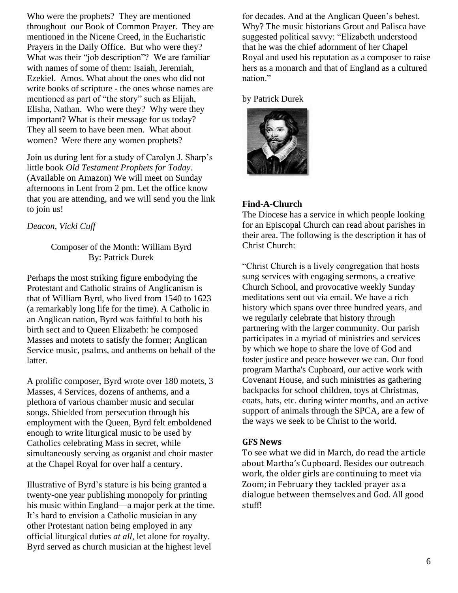Who were the prophets? They are mentioned throughout our Book of Common Prayer. They are mentioned in the Nicene Creed, in the Eucharistic Prayers in the Daily Office. But who were they? What was their "job description"? We are familiar with names of some of them: Isaiah, Jeremiah, Ezekiel. Amos. What about the ones who did not write books of scripture - the ones whose names are mentioned as part of "the story" such as Elijah, Elisha, Nathan. Who were they? Why were they important? What is their message for us today? They all seem to have been men. What about women? Were there any women prophets?

Join us during lent for a study of Carolyn J. Sharp's little book *Old Testament Prophets for Today.* (Available on Amazon) We will meet on Sunday afternoons in Lent from 2 pm. Let the office know that you are attending, and we will send you the link to join us!

#### *Deacon, Vicki Cuff*

#### Composer of the Month: William Byrd By: Patrick Durek

Perhaps the most striking figure embodying the Protestant and Catholic strains of Anglicanism is that of William Byrd, who lived from 1540 to 1623 (a remarkably long life for the time). A Catholic in an Anglican nation, Byrd was faithful to both his birth sect and to Queen Elizabeth: he composed Masses and motets to satisfy the former; Anglican Service music, psalms, and anthems on behalf of the latter.

A prolific composer, Byrd wrote over 180 motets, 3 Masses, 4 Services, dozens of anthems, and a plethora of various chamber music and secular songs. Shielded from persecution through his employment with the Queen, Byrd felt emboldened enough to write liturgical music to be used by Catholics celebrating Mass in secret, while simultaneously serving as organist and choir master at the Chapel Royal for over half a century.

Illustrative of Byrd's stature is his being granted a twenty-one year publishing monopoly for printing his music within England—a major perk at the time. It's hard to envision a Catholic musician in any other Protestant nation being employed in any official liturgical duties *at all*, let alone for royalty. Byrd served as church musician at the highest level

for decades. And at the Anglican Queen's behest. Why? The music historians Grout and Palisca have suggested political savvy: "Elizabeth understood that he was the chief adornment of her Chapel Royal and used his reputation as a composer to raise hers as a monarch and that of England as a cultured nation."

#### by Patrick Durek



#### **Find-A-Church**

The Diocese has a service in which people looking for an Episcopal Church can read about parishes in their area. The following is the description it has of Christ Church:

"Christ Church is a lively congregation that hosts sung services with engaging sermons, a creative Church School, and provocative weekly Sunday meditations sent out via email. We have a rich history which spans over three hundred years, and we regularly celebrate that history through partnering with the larger community. Our parish participates in a myriad of ministries and services by which we hope to share the love of God and foster justice and peace however we can. Our food program Martha's Cupboard, our active work with Covenant House, and such ministries as gathering backpacks for school children, toys at Christmas, coats, hats, etc. during winter months, and an active support of animals through the SPCA, are a few of the ways we seek to be Christ to the world.

#### **GFS News**

To see what we did in March, do read the article about Martha's Cupboard. Besides our outreach work, the older girls are continuing to meet via Zoom; in February they tackled prayer as a dialogue between themselves and God. All good stuff!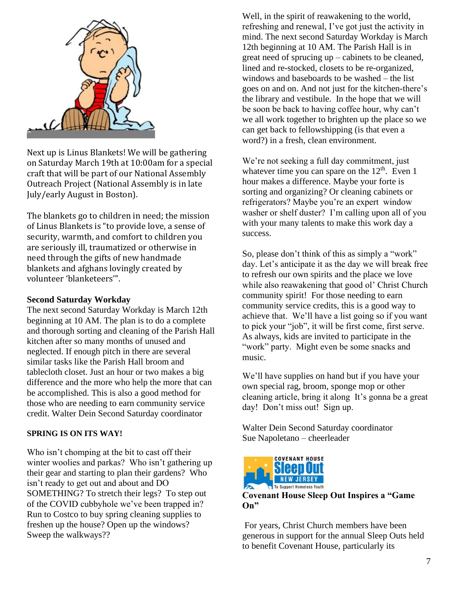

Next up is Linus Blankets! We will be gathering on Saturday March 19th at 10:00am for a special craft that will be part of our National Assembly Outreach Project (National Assembly is in late July/early August in Boston).

The blankets go to children in need; the mission of Linus Blankets is "to provide love, a sense of security, warmth, and comfort to children you are seriously ill, traumatized or otherwise in need through the gifts of new handmade blankets and afghans lovingly created by volunteer 'blanketeers'".

#### **Second Saturday Workday**

The next second Saturday Workday is March 12th beginning at 10 AM. The plan is to do a complete and thorough sorting and cleaning of the Parish Hall kitchen after so many months of unused and neglected. If enough pitch in there are several similar tasks like the Parish Hall broom and tablecloth closet. Just an hour or two makes a big difference and the more who help the more that can be accomplished. This is also a good method for those who are needing to earn community service credit. Walter Dein Second Saturday coordinator

#### **SPRING IS ON ITS WAY!**

Who isn't chomping at the bit to cast off their winter woolies and parkas? Who isn't gathering up their gear and starting to plan their gardens? Who isn't ready to get out and about and DO SOMETHING? To stretch their legs? To step out of the COVID cubbyhole we've been trapped in? Run to Costco to buy spring cleaning supplies to freshen up the house? Open up the windows? Sweep the walkways??

Well, in the spirit of reawakening to the world, refreshing and renewal, I've got just the activity in mind. The next second Saturday Workday is March 12th beginning at 10 AM. The Parish Hall is in great need of sprucing up – cabinets to be cleaned, lined and re-stocked, closets to be re-organized, windows and baseboards to be washed – the list goes on and on. And not just for the kitchen-there's the library and vestibule. In the hope that we will be soon be back to having coffee hour, why can't we all work together to brighten up the place so we can get back to fellowshipping (is that even a word?) in a fresh, clean environment.

We're not seeking a full day commitment, just whatever time you can spare on the  $12<sup>th</sup>$ . Even 1 hour makes a difference. Maybe your forte is sorting and organizing? Or cleaning cabinets or refrigerators? Maybe you're an expert window washer or shelf duster? I'm calling upon all of you with your many talents to make this work day a success.

So, please don't think of this as simply a "work" day. Let's anticipate it as the day we will break free to refresh our own spirits and the place we love while also reawakening that good ol' Christ Church community spirit! For those needing to earn community service credits, this is a good way to achieve that. We'll have a list going so if you want to pick your "job", it will be first come, first serve. As always, kids are invited to participate in the "work" party. Might even be some snacks and music.

We'll have supplies on hand but if you have your own special rag, broom, sponge mop or other cleaning article, bring it along It's gonna be a great day! Don't miss out! Sign up.

Walter Dein Second Saturday coordinator Sue Napoletano – cheerleader



**Covenant House Sleep Out Inspires a "Game On"**

For years, Christ Church members have been generous in support for the annual Sleep Outs held to benefit Covenant House, particularly its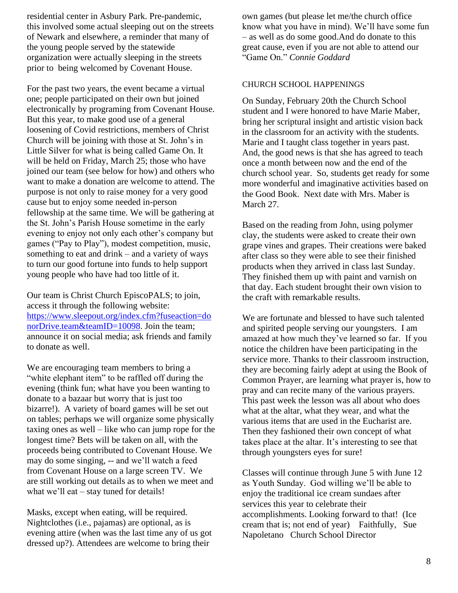residential center in Asbury Park. Pre-pandemic, this involved some actual sleeping out on the streets of Newark and elsewhere, a reminder that many of the young people served by the statewide organization were actually sleeping in the streets prior to being welcomed by Covenant House.

For the past two years, the event became a virtual one; people participated on their own but joined electronically by programing from Covenant House. But this year, to make good use of a general loosening of Covid restrictions, members of Christ Church will be joining with those at St. John's in Little Silver for what is being called Game On. It will be held on Friday, March 25; those who have joined our team (see below for how) and others who want to make a donation are welcome to attend. The purpose is not only to raise money for a very good cause but to enjoy some needed in-person fellowship at the same time. We will be gathering at the St. John's Parish House sometime in the early evening to enjoy not only each other's company but games ("Pay to Play"), modest competition, music, something to eat and drink – and a variety of ways to turn our good fortune into funds to help support young people who have had too little of it.

Our team is Christ Church EpiscoPALS; to join, access it through the following website: [https://www.sleepout.org/index.cfm?fuseaction=do](https://www.sleepout.org/index.cfm?fuseaction=donorDrive.team&teamID=10098) [norDrive.team&teamID=10098.](https://www.sleepout.org/index.cfm?fuseaction=donorDrive.team&teamID=10098) Join the team; announce it on social media; ask friends and family to donate as well.

We are encouraging team members to bring a "white elephant item" to be raffled off during the evening (think fun; what have you been wanting to donate to a bazaar but worry that is just too bizarre!). A variety of board games will be set out on tables; perhaps we will organize some physically taxing ones as well – like who can jump rope for the longest time? Bets will be taken on all, with the proceeds being contributed to Covenant House. We may do some singing, -- and we'll watch a feed from Covenant House on a large screen TV. We are still working out details as to when we meet and what we'll eat – stay tuned for details!

Masks, except when eating, will be required. Nightclothes (i.e., pajamas) are optional, as is evening attire (when was the last time any of us got dressed up?). Attendees are welcome to bring their

own games (but please let me/the church office know what you have in mind). We'll have some fun – as well as do some good.And do donate to this great cause, even if you are not able to attend our "Game On." *Connie Goddard*

#### CHURCH SCHOOL HAPPENINGS

On Sunday, February 20th the Church School student and I were honored to have Marie Maber, bring her scriptural insight and artistic vision back in the classroom for an activity with the students. Marie and I taught class together in years past. And, the good news is that she has agreed to teach once a month between now and the end of the church school year. So, students get ready for some more wonderful and imaginative activities based on the Good Book. Next date with Mrs. Maber is March 27.

Based on the reading from John, using polymer clay, the students were asked to create their own grape vines and grapes. Their creations were baked after class so they were able to see their finished products when they arrived in class last Sunday. They finished them up with paint and varnish on that day. Each student brought their own vision to the craft with remarkable results.

We are fortunate and blessed to have such talented and spirited people serving our youngsters. I am amazed at how much they've learned so far. If you notice the children have been participating in the service more. Thanks to their classroom instruction, they are becoming fairly adept at using the Book of Common Prayer, are learning what prayer is, how to pray and can recite many of the various prayers. This past week the lesson was all about who does what at the altar, what they wear, and what the various items that are used in the Eucharist are. Then they fashioned their own concept of what takes place at the altar. It's interesting to see that through youngsters eyes for sure!

Classes will continue through June 5 with June 12 as Youth Sunday. God willing we'll be able to enjoy the traditional ice cream sundaes after services this year to celebrate their accomplishments. Looking forward to that! (Ice cream that is; not end of year) Faithfully, Sue Napoletano Church School Director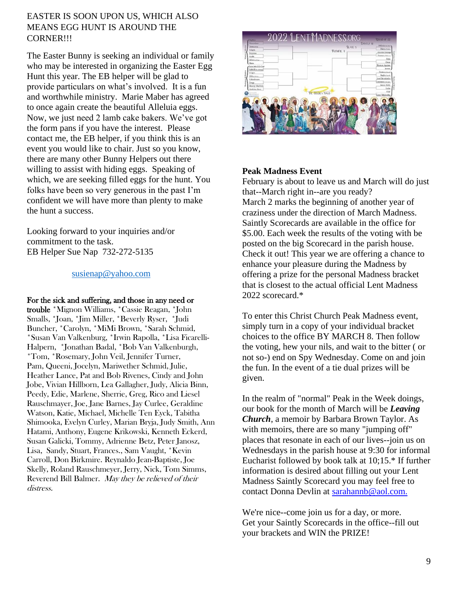#### EASTER IS SOON UPON US, WHICH ALSO MEANS EGG HUNT IS AROUND THE CORNER!!!

The Easter Bunny is seeking an individual or family who may be interested in organizing the Easter Egg Hunt this year. The EB helper will be glad to provide particulars on what's involved. It is a fun and worthwhile ministry. Marie Maber has agreed to once again create the beautiful Alleluia eggs. Now, we just need 2 lamb cake bakers. We've got the form pans if you have the interest. Please contact me, the EB helper, if you think this is an event you would like to chair. Just so you know, there are many other Bunny Helpers out there willing to assist with hiding eggs. Speaking of which, we are seeking filled eggs for the hunt. You folks have been so very generous in the past I'm confident we will have more than plenty to make the hunt a success.

Looking forward to your inquiries and/or commitment to the task. EB Helper Sue Nap 732-272-5135

#### [susienap@yahoo.com](mailto:susienap@yahoo.com)

#### For the sick and suffering, and those in any need or

trouble \*Mignon Williams, \*Cassie Reagan, \*John Smalls, \*Joan, \*Jim Miller, \*Beverly Ryser, \*Judi Buncher, \*Carolyn, \*MiMi Brown, \*Sarah Schmid, \*Susan Van Valkenburg, \*Irwin Rapolla, \*Lisa Ficarelli-Halpern, \*Jonathan Badal, \*Bob Van Valkenburgh, \*Tom, \*Rosemary, John Veil, Jennifer Turner, Pam, Queeni, Jocelyn, Mariwether Schmid, Julie, Heather Lance, Pat and Bob Rivenes, Cindy and John Jobe, Vivian Hillborn, Lea Gallagher, Judy, Alicia Binn, Peedy, Edie, Marlene, Sherrie, Greg, Rico and Liesel Rauschmayer, Joe, Jane Barnes, Jay Curlee, Geraldine Watson, Katie, Michael, Michelle Ten Eyck, Tabitha Shimooka, Evelyn Curley, Marian Bryja, Judy Smith, Ann Hatami, Anthony, Eugene Krikowski, Kenneth Eckerd, Susan Galicki, Tommy, Adrienne Betz, Peter Janosz, Lisa, Sandy, Stuart, Frances., Sam Vaught, \*Kevin Carroll, Don Birkmire. Reynaldo Jean-Baptiste, Joe Skelly, Roland Rauschmeyer, Jerry, Nick, Tom Simms, Reverend Bill Balmer. May they be relieved of their distress.



#### **Peak Madness Event**

February is about to leave us and March will do just that--March right in--are you ready? March 2 marks the beginning of another year of craziness under the direction of March Madness. Saintly Scorecards are available in the office for \$5.00. Each week the results of the voting with be posted on the big Scorecard in the parish house. Check it out! This year we are offering a chance to enhance your pleasure during the Madness by offering a prize for the personal Madness bracket that is closest to the actual official Lent Madness 2022 scorecard.\*

To enter this Christ Church Peak Madness event, simply turn in a copy of your individual bracket choices to the office BY MARCH 8. Then follow the voting, hew your nils, and wait to the bitter ( or not so-) end on Spy Wednesday. Come on and join the fun. In the event of a tie dual prizes will be given.

In the realm of "normal" Peak in the Week doings, our book for the month of March will be *Leaving Church*, a memoir by Barbara Brown Taylor. As with memoirs, there are so many "jumping off" places that resonate in each of our lives--join us on Wednesdays in the parish house at 9:30 for informal Eucharist followed by book talk at 10;15.\* If further information is desired about filling out your Lent Madness Saintly Scorecard you may feel free to contact Donna Devlin at [sarahannb@aol.com.](mailto:sarahannb@aol.com)

We're nice--come join us for a day, or more. Get your Saintly Scorecards in the office--fill out your brackets and WIN the PRIZE!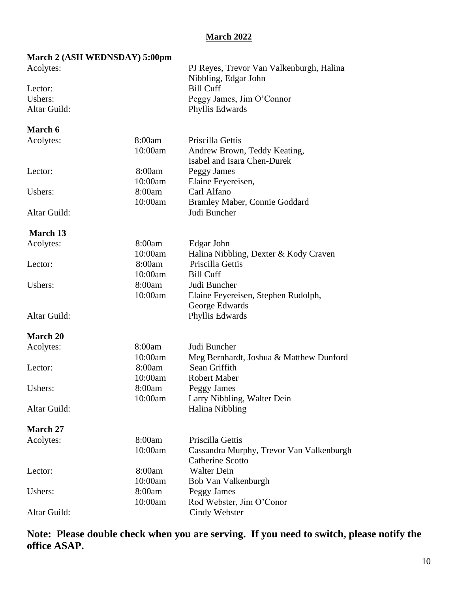#### **March 2022**

| March 2 (ASH WEDNSDAY) 5:00pm |         |                                                             |  |  |  |
|-------------------------------|---------|-------------------------------------------------------------|--|--|--|
| Acolytes:                     |         | PJ Reyes, Trevor Van Valkenburgh, Halina                    |  |  |  |
|                               |         | Nibbling, Edgar John                                        |  |  |  |
| Lector:                       |         | <b>Bill Cuff</b>                                            |  |  |  |
| Ushers:                       |         | Peggy James, Jim O'Connor                                   |  |  |  |
| Altar Guild:                  |         | Phyllis Edwards                                             |  |  |  |
| March 6                       |         |                                                             |  |  |  |
| Acolytes:                     | 8:00am  | Priscilla Gettis                                            |  |  |  |
|                               | 10:00am | Andrew Brown, Teddy Keating,<br>Isabel and Isara Chen-Durek |  |  |  |
| Lector:                       | 8:00am  | Peggy James                                                 |  |  |  |
|                               | 10:00am | Elaine Feyereisen,                                          |  |  |  |
| Ushers:                       | 8:00am  | Carl Alfano                                                 |  |  |  |
|                               | 10:00am | Bramley Maber, Connie Goddard                               |  |  |  |
| Altar Guild:                  |         | Judi Buncher                                                |  |  |  |
| March 13                      |         |                                                             |  |  |  |
| Acolytes:                     | 8:00am  | Edgar John                                                  |  |  |  |
|                               | 10:00am | Halina Nibbling, Dexter & Kody Craven                       |  |  |  |
| Lector:                       | 8:00am  | Priscilla Gettis                                            |  |  |  |
|                               | 10:00am | <b>Bill Cuff</b>                                            |  |  |  |
| Ushers:                       | 8:00am  | Judi Buncher                                                |  |  |  |
|                               | 10:00am | Elaine Feyereisen, Stephen Rudolph,                         |  |  |  |
|                               |         | George Edwards                                              |  |  |  |
| Altar Guild:                  |         | Phyllis Edwards                                             |  |  |  |
| <b>March 20</b>               |         |                                                             |  |  |  |
| Acolytes:                     | 8:00am  | Judi Buncher                                                |  |  |  |
|                               | 10:00am | Meg Bernhardt, Joshua & Matthew Dunford                     |  |  |  |
| Lector:                       | 8:00am  | Sean Griffith                                               |  |  |  |
|                               | 10:00am | Robert Maber                                                |  |  |  |
| Ushers:                       | 8:00am  | <b>Peggy James</b>                                          |  |  |  |
|                               | 10:00am | Larry Nibbling, Walter Dein                                 |  |  |  |
| Altar Guild:                  |         | <b>Halina Nibbling</b>                                      |  |  |  |
| March 27                      |         |                                                             |  |  |  |
| Acolytes:                     | 8:00am  | Priscilla Gettis                                            |  |  |  |
|                               | 10:00am | Cassandra Murphy, Trevor Van Valkenburgh                    |  |  |  |
|                               |         | <b>Catherine Scotto</b>                                     |  |  |  |
| Lector:                       | 8:00am  | <b>Walter Dein</b>                                          |  |  |  |
|                               | 10:00am | Bob Van Valkenburgh                                         |  |  |  |
| Ushers:                       | 8:00am  | Peggy James                                                 |  |  |  |
|                               | 10:00am | Rod Webster, Jim O'Conor                                    |  |  |  |
| Altar Guild:                  |         | Cindy Webster                                               |  |  |  |

**Note: Please double check when you are serving. If you need to switch, please notify the office ASAP.**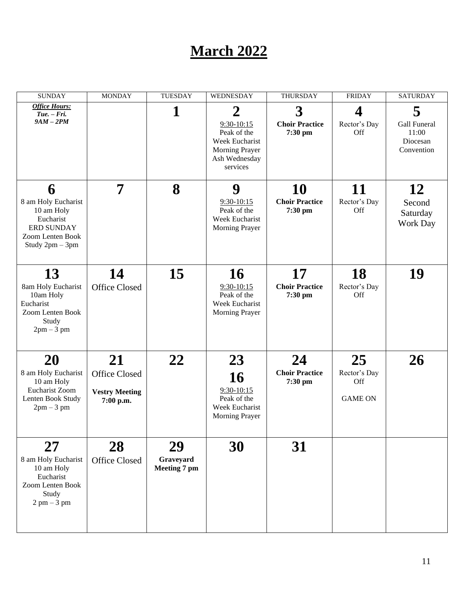### **March 2022**

| <b>SUNDAY</b>                                                                                              | <b>MONDAY</b>                                             | <b>TUESDAY</b>                  | WEDNESDAY                                                                                                      | <b>THURSDAY</b>                                             | <b>FRIDAY</b>                               | <b>SATURDAY</b>                                      |
|------------------------------------------------------------------------------------------------------------|-----------------------------------------------------------|---------------------------------|----------------------------------------------------------------------------------------------------------------|-------------------------------------------------------------|---------------------------------------------|------------------------------------------------------|
| <b>Office Hours:</b><br>$Tue. - Fri.$<br>$9AM-2PM$                                                         |                                                           | 1                               | $\overline{2}$<br>$9:30-10:15$<br>Peak of the<br>Week Eucharist<br>Morning Prayer<br>Ash Wednesday<br>services | $\overline{\mathbf{3}}$<br><b>Choir Practice</b><br>7:30 pm | 4<br>Rector's Day<br>Off                    | 5<br>Gall Funeral<br>11:00<br>Diocesan<br>Convention |
| 6<br>8 am Holy Eucharist<br>10 am Holy<br>Eucharist<br>ERD SUNDAY<br>Zoom Lenten Book<br>Study 2pm - 3pm   | 7                                                         | 8                               | 9<br>$9:30-10:15$<br>Peak of the<br>Week Eucharist<br>Morning Prayer                                           | <b>10</b><br><b>Choir Practice</b><br>7:30 pm               | 11<br>Rector's Day<br>Off                   | 12<br>Second<br>Saturday<br>Work Day                 |
| 13<br>8am Holy Eucharist<br>10am Holy<br>Eucharist<br>Zoom Lenten Book<br>Study<br>$2pm-3$ pm              | 14<br><b>Office Closed</b>                                | 15                              | <b>16</b><br>$9:30-10:15$<br>Peak of the<br>Week Eucharist<br>Morning Prayer                                   | 17<br><b>Choir Practice</b><br>7:30 pm                      | <b>18</b><br>Rector's Day<br>Off            | 19                                                   |
| 20<br>8 am Holy Eucharist<br>10 am Holy<br>Eucharist Zoom<br>Lenten Book Study<br>$2pm-3$ pm               | 21<br>Office Closed<br><b>Vestry Meeting</b><br>7:00 p.m. | 22                              | 23<br>16<br>$9:30-10:15$<br>Peak of the<br>Week Eucharist<br>Morning Prayer                                    | 24<br><b>Choir Practice</b><br>7:30 pm                      | 25<br>Rector's Day<br>Off<br><b>GAME ON</b> | <b>26</b>                                            |
| <b>27</b><br>8 am Holy Eucharist<br>10 am Holy<br>Eucharist<br>Zoom Lenten Book<br>Study<br>$2$ pm $-3$ pm | 28<br>Office Closed                                       | 29<br>Graveyard<br>Meeting 7 pm | 30                                                                                                             | 31                                                          |                                             |                                                      |